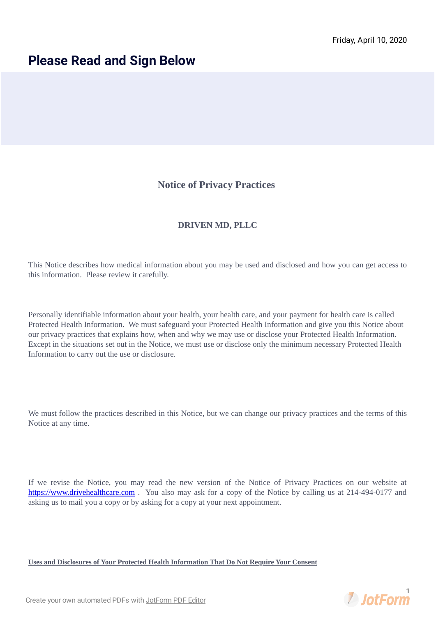## **Please Read and Sign Below**

## **Notice of Privacy Practices**

## **DRIVEN MD, PLLC**

This Notice describes how medical information about you may be used and disclosed and how you can get access to this information. Please review it carefully.

Personally identifiable information about your health, your health care, and your payment for health care is called Protected Health Information. We must safeguard your Protected Health Information and give you this Notice about our privacy practices that explains how, when and why we may use or disclose your Protected Health Information. Except in the situations set out in the Notice, we must use or disclose only the minimum necessary Protected Health Information to carry out the use or disclosure.

We must follow the practices described in this Notice, but we can change our privacy practices and the terms of this Notice at any time.

If we revise the Notice, you may read the new version of the Notice of Privacy Practices on our website at [https://www.drivehealthcare.com](https://www.drivehealthcare.com/) . You also may ask for a copy of the Notice by calling us at 214-494-0177 and asking us to mail you a copy or by asking for a copy at your next appointment.

**Uses and Disclosures of Your Protected Health Information That Do Not Require Your Consent**



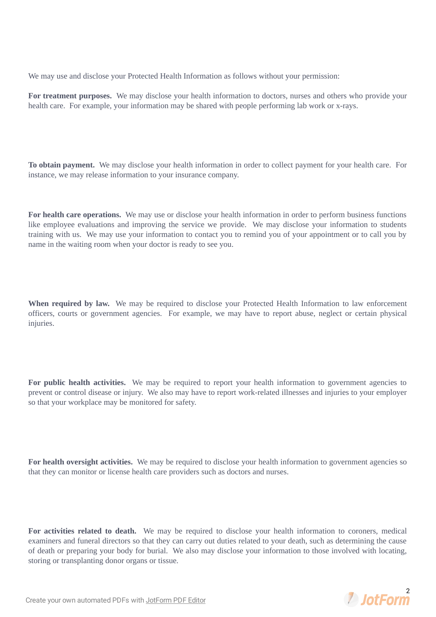We may use and disclose your Protected Health Information as follows without your permission:

**For treatment purposes.** We may disclose your health information to doctors, nurses and others who provide your health care. For example, your information may be shared with people performing lab work or x-rays.

**To obtain payment.** We may disclose your health information in order to collect payment for your health care. For instance, we may release information to your insurance company.

**For health care operations.** We may use or disclose your health information in order to perform business functions like employee evaluations and improving the service we provide. We may disclose your information to students training with us. We may use your information to contact you to remind you of your appointment or to call you by name in the waiting room when your doctor is ready to see you.

**When required by law.** We may be required to disclose your Protected Health Information to law enforcement officers, courts or government agencies. For example, we may have to report abuse, neglect or certain physical injuries.

**For public health activities.** We may be required to report your health information to government agencies to prevent or control disease or injury. We also may have to report work-related illnesses and injuries to your employer so that your workplace may be monitored for safety.

**For health oversight activities.** We may be required to disclose your health information to government agencies so that they can monitor or license health care providers such as doctors and nurses.

**For activities related to death.** We may be required to disclose your health information to coroners, medical examiners and funeral directors so that they can carry out duties related to your death, such as determining the cause of death or preparing your body for burial. We also may disclose your information to those involved with locating, storing or transplanting donor organs or tissue.

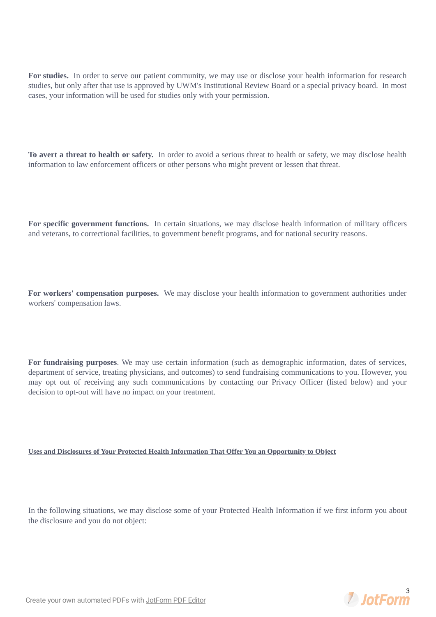**For studies.** In order to serve our patient community, we may use or disclose your health information for research studies, but only after that use is approved by UWM's Institutional Review Board or a special privacy board. In most cases, your information will be used for studies only with your permission.

**To avert a threat to health or safety.** In order to avoid a serious threat to health or safety, we may disclose health information to law enforcement officers or other persons who might prevent or lessen that threat.

**For specific government functions.** In certain situations, we may disclose health information of military officers and veterans, to correctional facilities, to government benefit programs, and for national security reasons.

**For workers' compensation purposes.** We may disclose your health information to government authorities under workers' compensation laws.

**For fundraising purposes**. We may use certain information (such as demographic information, dates of services, department of service, treating physicians, and outcomes) to send fundraising communications to you. However, you may opt out of receiving any such communications by contacting our Privacy Officer (listed below) and your decision to opt-out will have no impact on your treatment.

**Uses and Disclosures of Your Protected Health Information That Offer You an Opportunity to Object**

In the following situations, we may disclose some of your Protected Health Information if we first inform you about the disclosure and you do not object:

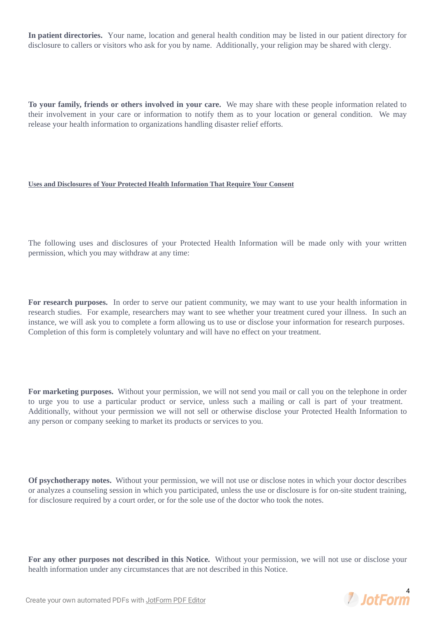**In patient directories.** Your name, location and general health condition may be listed in our patient directory for disclosure to callers or visitors who ask for you by name. Additionally, your religion may be shared with clergy.

**To your family, friends or others involved in your care.** We may share with these people information related to their involvement in your care or information to notify them as to your location or general condition. We may release your health information to organizations handling disaster relief efforts.

## **Uses and Disclosures of Your Protected Health Information That Require Your Consent**

The following uses and disclosures of your Protected Health Information will be made only with your written permission, which you may withdraw at any time:

**For research purposes.** In order to serve our patient community, we may want to use your health information in research studies. For example, researchers may want to see whether your treatment cured your illness. In such an instance, we will ask you to complete a form allowing us to use or disclose your information for research purposes. Completion of this form is completely voluntary and will have no effect on your treatment.

**For marketing purposes.** Without your permission, we will not send you mail or call you on the telephone in order to urge you to use a particular product or service, unless such a mailing or call is part of your treatment. Additionally, without your permission we will not sell or otherwise disclose your Protected Health Information to any person or company seeking to market its products or services to you.

**Of psychotherapy notes.** Without your permission, we will not use or disclose notes in which your doctor describes or analyzes a counseling session in which you participated, unless the use or disclosure is for on-site student training, for disclosure required by a court order, or for the sole use of the doctor who took the notes.

**For any other purposes not described in this Notice.** Without your permission, we will not use or disclose your health information under any circumstances that are not described in this Notice.

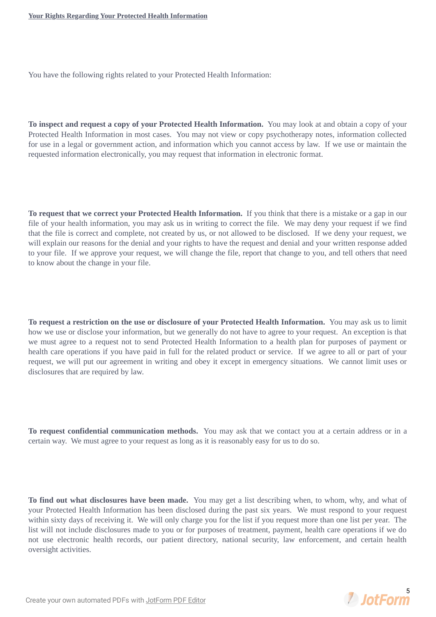You have the following rights related to your Protected Health Information:

**To inspect and request a copy of your Protected Health Information.** You may look at and obtain a copy of your Protected Health Information in most cases. You may not view or copy psychotherapy notes, information collected for use in a legal or government action, and information which you cannot access by law. If we use or maintain the requested information electronically, you may request that information in electronic format.

**To request that we correct your Protected Health Information.** If you think that there is a mistake or a gap in our file of your health information, you may ask us in writing to correct the file. We may deny your request if we find that the file is correct and complete, not created by us, or not allowed to be disclosed. If we deny your request, we will explain our reasons for the denial and your rights to have the request and denial and your written response added to your file. If we approve your request, we will change the file, report that change to you, and tell others that need to know about the change in your file.

**To request a restriction on the use or disclosure of your Protected Health Information.** You may ask us to limit how we use or disclose your information, but we generally do not have to agree to your request. An exception is that we must agree to a request not to send Protected Health Information to a health plan for purposes of payment or health care operations if you have paid in full for the related product or service. If we agree to all or part of your request, we will put our agreement in writing and obey it except in emergency situations. We cannot limit uses or disclosures that are required by law.

**To request confidential communication methods.** You may ask that we contact you at a certain address or in a certain way. We must agree to your request as long as it is reasonably easy for us to do so.

**To find out what disclosures have been made.** You may get a list describing when, to whom, why, and what of your Protected Health Information has been disclosed during the past six years. We must respond to your request within sixty days of receiving it. We will only charge you for the list if you request more than one list per year. The list will not include disclosures made to you or for purposes of treatment, payment, health care operations if we do not use electronic health records, our patient directory, national security, law enforcement, and certain health oversight activities.

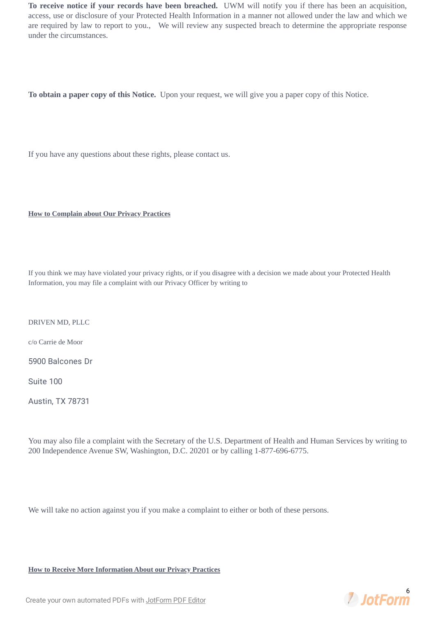**To receive notice if your records have been breached.** UWM will notify you if there has been an acquisition, access, use or disclosure of your Protected Health Information in a manner not allowed under the law and which we are required by law to report to you., We will review any suspected breach to determine the appropriate response under the circumstances.

**To obtain a paper copy of this Notice.** Upon your request, we will give you a paper copy of this Notice.

If you have any questions about these rights, please contact us.

**How to Complain about Our Privacy Practices**

If you think we may have violated your privacy rights, or if you disagree with a decision we made about your Protected Health Information, you may file a complaint with our Privacy Officer by writing to

DRIVEN MD, PLLC

c/o Carrie de Moor

5900 Balcones Dr

Suite 100

Austin, TX 78731

You may also file a complaint with the Secretary of the U.S. Department of Health and Human Services by writing to 200 Independence Avenue SW, Washington, D.C. 20201 or by calling 1-877-696-6775.

We will take no action against you if you make a complaint to either or both of these persons.

**How to Receive More Information About our Privacy Practices**